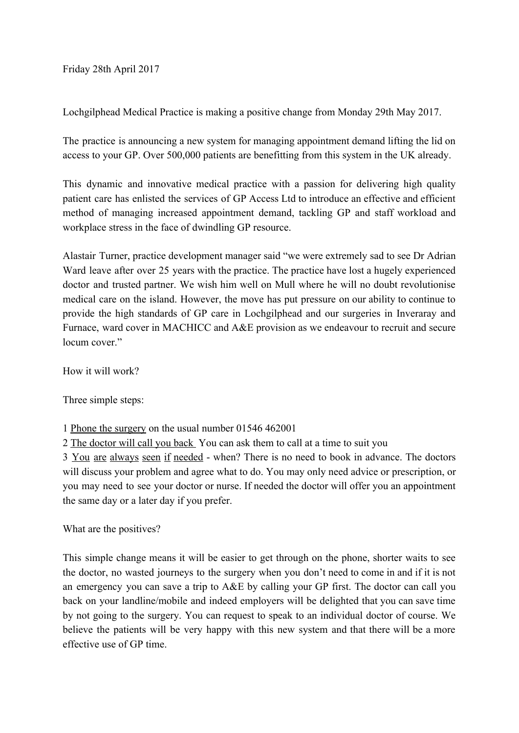Friday 28th April 2017

Lochgilphead Medical Practice is making a positive change from Monday 29th May 2017.

The practice is announcing a new system for managing appointment demand lifting the lid on access to your GP. Over 500,000 patients are benefitting from this system in the UK already.

This dynamic and innovative medical practice with a passion for delivering high quality patient care has enlisted the services of GP Access Ltd to introduce an effective and efficient method of managing increased appointment demand, tackling GP and staff workload and workplace stress in the face of dwindling GP resource.

Alastair Turner, practice development manager said "we were extremely sad to see Dr Adrian Ward leave after over 25 years with the practice. The practice have lost a hugely experienced doctor and trusted partner. We wish him well on Mull where he will no doubt revolutionise medical care on the island. However, the move has put pressure on our ability to continue to provide the high standards of GP care in Lochgilphead and our surgeries in Inveraray and Furnace, ward cover in MACHICC and A&E provision as we endeavour to recruit and secure locum cover."

How it will work?

Three simple steps:

1 Phone the surgery on the usual number 01546 462001

2 The doctor will call you back You can ask them to call at a time to suit you

3 You are always seen if needed - when? There is no need to book in advance. The doctors will discuss your problem and agree what to do. You may only need advice or prescription, or you may need to see your doctor or nurse. If needed the doctor will offer you an appointment the same day or a later day if you prefer.

What are the positives?

This simple change means it will be easier to get through on the phone, shorter waits to see the doctor, no wasted journeys to the surgery when you don't need to come in and if it is not an emergency you can save a trip to A&E by calling your GP first. The doctor can call you back on your landline/mobile and indeed employers will be delighted that you can save time by not going to the surgery. You can request to speak to an individual doctor of course. We believe the patients will be very happy with this new system and that there will be a more effective use of GP time.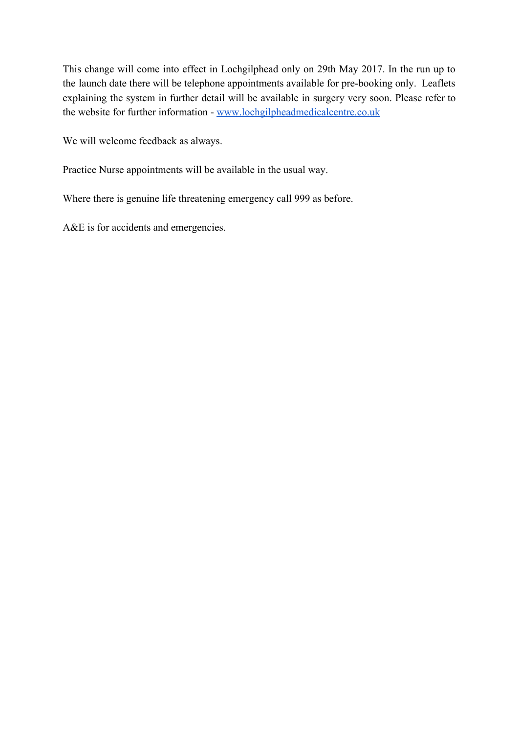This change will come into effect in Lochgilphead only on 29th May 2017. In the run up to the launch date there will be telephone appointments available for pre-booking only. Leaflets explaining the system in further detail will be available in surgery very soon. Please refer to the website for further information - [www.lochgilpheadmedicalcentre.co.uk](http://www.lochgilpheadmedicalcentre.co.uk/)

We will welcome feedback as always.

Practice Nurse appointments will be available in the usual way.

Where there is genuine life threatening emergency call 999 as before.

A&E is for accidents and emergencies.